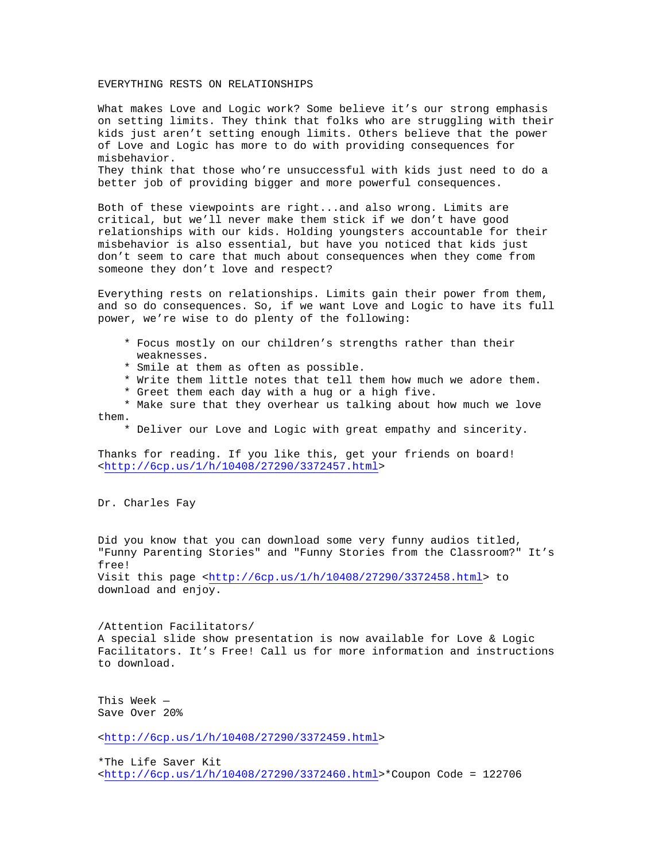## EVERYTHING RESTS ON RELATIONSHIPS

What makes Love and Logic work? Some believe it's our strong emphasis on setting limits. They think that folks who are struggling with their kids just aren't setting enough limits. Others believe that the power of Love and Logic has more to do with providing consequences for misbehavior. They think that those who're unsuccessful with kids just need to do a better job of providing bigger and more powerful consequences.

Both of these viewpoints are right...and also wrong. Limits are critical, but we'll never make them stick if we don't have good relationships with our kids. Holding youngsters accountable for their misbehavior is also essential, but have you noticed that kids just don't seem to care that much about consequences when they come from someone they don't love and respect?

Everything rests on relationships. Limits gain their power from them, and so do consequences. So, if we want Love and Logic to have its full power, we're wise to do plenty of the following:

- \* Focus mostly on our children's strengths rather than their weaknesses.
- \* Smile at them as often as possible.
- \* Write them little notes that tell them how much we adore them.
- \* Greet them each day with a hug or a high five.

 \* Make sure that they overhear us talking about how much we love them.

\* Deliver our Love and Logic with great empathy and sincerity.

Thanks for reading. If you like this, get your friends on board! [<http://6cp.us/1/h/10408/27290/3372457.html](http://6cp.us/1/h/10408/27290/3372457.html)>

Dr. Charles Fay

Did you know that you can download some very funny audios titled, "Funny Parenting Stories" and "Funny Stories from the Classroom?" It's free! Visit this page <<http://6cp.us/1/h/10408/27290/3372458.html>> to download and enjoy.

/Attention Facilitators/ A special slide show presentation is now available for Love & Logic Facilitators. It's Free! Call us for more information and instructions to download.

This Week — Save Over 20%

[<http://6cp.us/1/h/10408/27290/3372459.html](http://6cp.us/1/h/10408/27290/3372459.html)>

\*The Life Saver Kit [<http://6cp.us/1/h/10408/27290/3372460.html](http://6cp.us/1/h/10408/27290/3372460.html)>\*Coupon Code = 122706